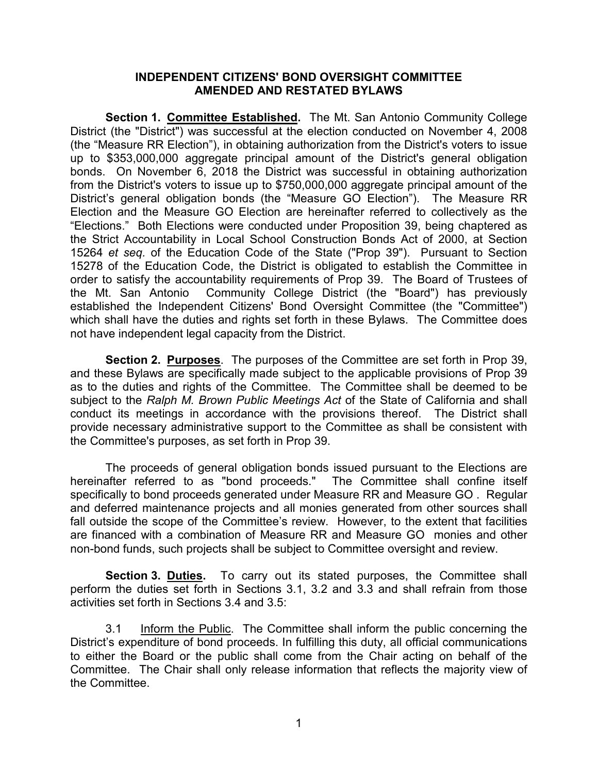### **INDEPENDENT CITIZENS' BOND OVERSIGHT COMMITTEE AMENDED AND RESTATED BYLAWS**

 **Section 1. Committee Established.** The Mt. San Antonio Community College 15264 *et seq.* of the Education Code of the State ("Prop 39"). Pursuant to Section order to satisfy the accountability requirements of Prop 39. The Board of Trustees of District (the "District") was successful at the election conducted on November 4, 2008 (the "Measure RR Election"), in obtaining authorization from the District's voters to issue up to \$353,000,000 aggregate principal amount of the District's general obligation bonds. On November 6, 2018 the District was successful in obtaining authorization from the District's voters to issue up to \$750,000,000 aggregate principal amount of the District's general obligation bonds (the "Measure GO Election"). The Measure RR Election and the Measure GO Election are hereinafter referred to collectively as the "Elections." Both Elections were conducted under Proposition 39, being chaptered as the Strict Accountability in Local School Construction Bonds Act of 2000, at Section 15278 of the Education Code, the District is obligated to establish the Committee in the Mt. San Antonio Community College District (the "Board") has previously established the Independent Citizens' Bond Oversight Committee (the "Committee") which shall have the duties and rights set forth in these Bylaws. The Committee does not have independent legal capacity from the District.

 **Section 2. Purposes**. The purposes of the Committee are set forth in Prop 39, as to the duties and rights of the Committee. The Committee shall be deemed to be and these Bylaws are specifically made subject to the applicable provisions of Prop 39 subject to the *Ralph M. Brown Public Meetings Act* of the State of California and shall conduct its meetings in accordance with the provisions thereof. The District shall provide necessary administrative support to the Committee as shall be consistent with the Committee's purposes, as set forth in Prop 39.

 specifically to bond proceeds generated under Measure RR and Measure GO . Regular fall outside the scope of the Committee's review. However, to the extent that facilities The proceeds of general obligation bonds issued pursuant to the Elections are hereinafter referred to as "bond proceeds." The Committee shall confine itself and deferred maintenance projects and all monies generated from other sources shall are financed with a combination of Measure RR and Measure GO monies and other non-bond funds, such projects shall be subject to Committee oversight and review.

 **Section 3. Duties.** To carry out its stated purposes, the Committee shall perform the duties set forth in Sections 3.1, 3.2 and 3.3 and shall refrain from those activities set forth in Sections 3.4 and 3.5:

 Committee. The Chair shall only release information that reflects the majority view of 3.1 Inform the Public. The Committee shall inform the public concerning the District's expenditure of bond proceeds. In fulfilling this duty, all official communications to either the Board or the public shall come from the Chair acting on behalf of the the Committee.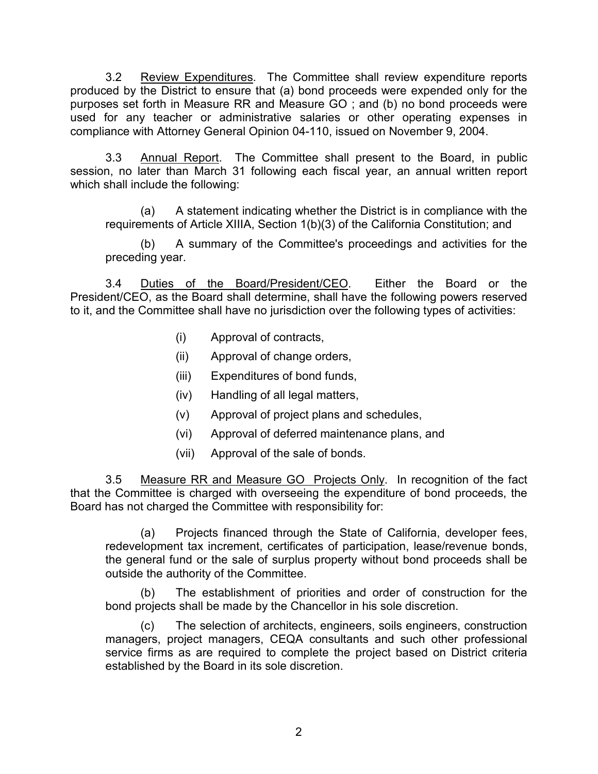produced by the District to ensure that (a) bond proceeds were expended only for the purposes set forth in Measure RR and Measure GO ; and (b) no bond proceeds were 3.2 Review Expenditures. The Committee shall review expenditure reports used for any teacher or administrative salaries or other operating expenses in compliance with Attorney General Opinion 04-110, issued on November 9, 2004.

3.3 Annual Report. The Committee shall present to the Board, in public session, no later than March 31 following each fiscal year, an annual written report which shall include the following:

(a) A statement indicating whether the District is in compliance with the requirements of Article XIIIA, Section 1(b)(3) of the California Constitution; and

(b) A summary of the Committee's proceedings and activities for the preceding year.

 3.4 Duties of the Board/President/CEO. Either the Board or the President/CEO, as the Board shall determine, shall have the following powers reserved to it, and the Committee shall have no jurisdiction over the following types of activities:

- (i) Approval of contracts,
- (ii) Approval of change orders,
- (iii) Expenditures of bond funds,
- (iv) Handling of all legal matters,
- (v) Approval of project plans and schedules,
- (vi) Approval of deferred maintenance plans, and
- (vii) Approval of the sale of bonds.

3.5 Measure RR and Measure GO Projects Only. In recognition of the fact that the Committee is charged with overseeing the expenditure of bond proceeds, the Board has not charged the Committee with responsibility for:

 (a) Projects financed through the State of California, developer fees, redevelopment tax increment, certificates of participation, lease/revenue bonds, the general fund or the sale of surplus property without bond proceeds shall be outside the authority of the Committee.

 (b) The establishment of priorities and order of construction for the bond projects shall be made by the Chancellor in his sole discretion.

(c) The selection of architects, engineers, soils engineers, construction managers, project managers, CEQA consultants and such other professional service firms as are required to complete the project based on District criteria established by the Board in its sole discretion.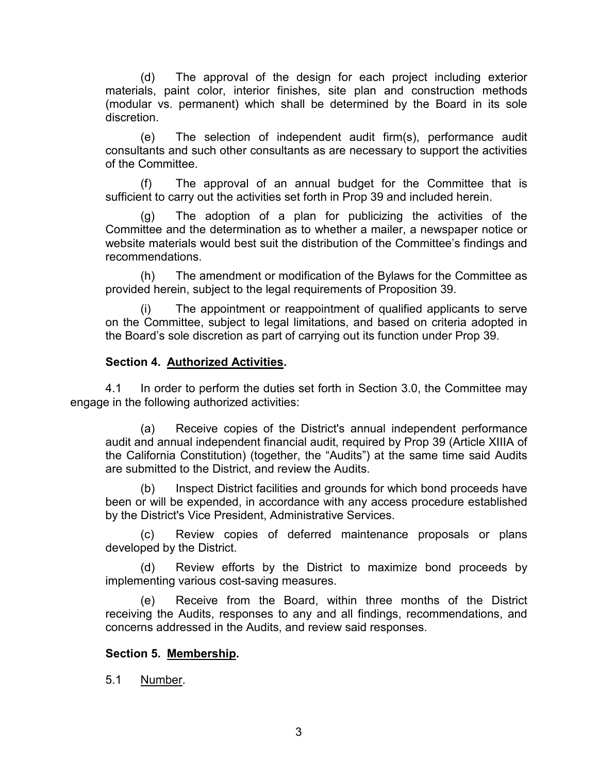(d) The approval of the design for each project including exterior materials, paint color, interior finishes, site plan and construction methods (modular vs. permanent) which shall be determined by the Board in its sole discretion.

 (e) The selection of independent audit firm(s), performance audit consultants and such other consultants as are necessary to support the activities of the Committee.

 (f) The approval of an annual budget for the Committee that is sufficient to carry out the activities set forth in Prop 39 and included herein.

 (g) The adoption of a plan for publicizing the activities of the Committee and the determination as to whether a mailer, a newspaper notice or website materials would best suit the distribution of the Committee's findings and recommendations.

(h) The amendment or modification of the Bylaws for the Committee as provided herein, subject to the legal requirements of Proposition 39.

 (i) The appointment or reappointment of qualified applicants to serve the Board's sole discretion as part of carrying out its function under Prop 39. on the Committee, subject to legal limitations, and based on criteria adopted in

## **Section 4. Authorized Activities.**

4.1 In order to perform the duties set forth in Section 3.0, the Committee may engage in the following authorized activities:

 (a) Receive copies of the District's annual independent performance audit and annual independent financial audit, required by Prop 39 (Article XIIIA of the California Constitution) (together, the "Audits") at the same time said Audits are submitted to the District, and review the Audits.

 by the District's Vice President, Administrative Services. (b) Inspect District facilities and grounds for which bond proceeds have been or will be expended, in accordance with any access procedure established

 (c) Review copies of deferred maintenance proposals or plans developed by the District.

 $(d)$ Review efforts by the District to maximize bond proceeds by implementing various cost-saving measures.

(e) Receive from the Board, within three months of the District receiving the Audits, responses to any and all findings, recommendations, and concerns addressed in the Audits, and review said responses.

## **Section 5. Membership.**

5.1 Number.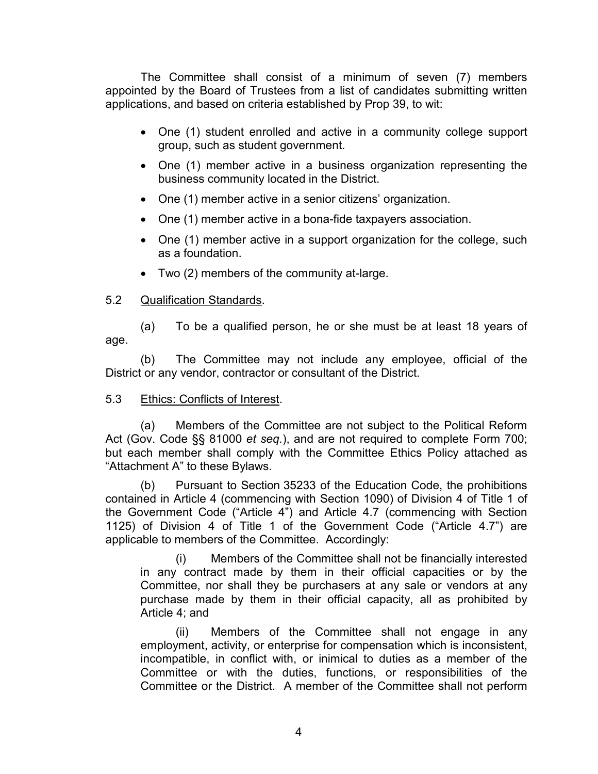The Committee shall consist of a minimum of seven (7) members appointed by the Board of Trustees from a list of candidates submitting written applications, and based on criteria established by Prop 39, to wit:

- One (1) student enrolled and active in a community college support group, such as student government.
- One (1) member active in a business organization representing the business community located in the District.
- One (1) member active in a senior citizens' organization.
- One (1) member active in a bona-fide taxpayers association.
- One (1) member active in a support organization for the college, such as a foundation.
- Two (2) members of the community at-large.

## 5.2 Qualification Standards.

(a) To be a qualified person, he or she must be at least 18 years of age.

 (b) The Committee may not include any employee, official of the District or any vendor, contractor or consultant of the District.

# 5.3 Ethics: Conflicts of Interest.

(a) Members of the Committee are not subject to the Political Reform Act (Gov. Code §§ 81000 *et seq.*), and are not required to complete Form 700; but each member shall comply with the Committee Ethics Policy attached as "Attachment A" to these Bylaws.

 contained in Article 4 (commencing with Section 1090) of Division 4 of Title 1 of (b) Pursuant to Section 35233 of the Education Code, the prohibitions the Government Code ("Article 4") and Article 4.7 (commencing with Section 1125) of Division 4 of Title 1 of the Government Code ("Article 4.7") are applicable to members of the Committee. Accordingly:

 Committee, nor shall they be purchasers at any sale or vendors at any (i) Members of the Committee shall not be financially interested in any contract made by them in their official capacities or by the purchase made by them in their official capacity, all as prohibited by Article 4; and

 Committee or with the duties, functions, or responsibilities of the Committee or the District. A member of the Committee shall not perform (ii) Members of the Committee shall not engage in any employment, activity, or enterprise for compensation which is inconsistent, incompatible, in conflict with, or inimical to duties as a member of the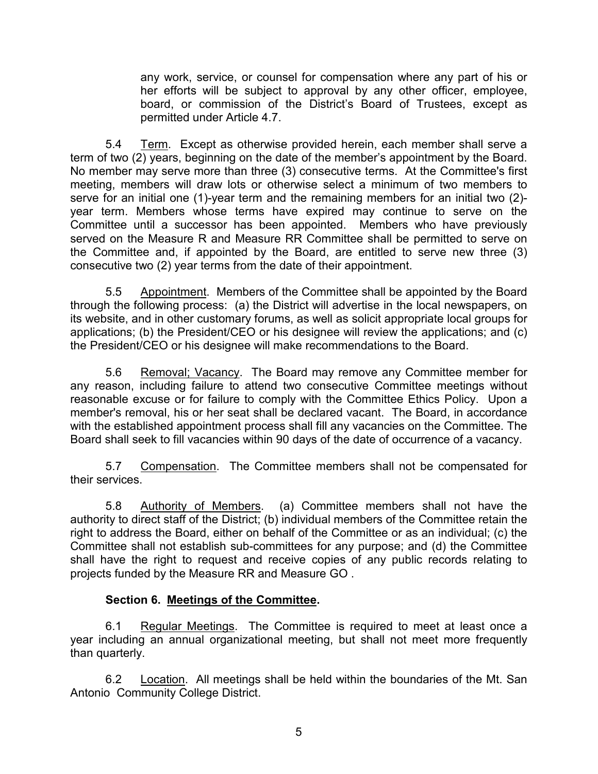any work, service, or counsel for compensation where any part of his or her efforts will be subject to approval by any other officer, employee, board, or commission of the District's Board of Trustees, except as permitted under Article 4.7.

 term of two (2) years, beginning on the date of the member's appointment by the Board. No member may serve more than three (3) consecutive terms. At the Committee's first Committee until a successor has been appointed. Members who have previously 5.4 Term. Except as otherwise provided herein, each member shall serve a meeting, members will draw lots or otherwise select a minimum of two members to serve for an initial one (1)-year term and the remaining members for an initial two (2) year term. Members whose terms have expired may continue to serve on the served on the Measure R and Measure RR Committee shall be permitted to serve on the Committee and, if appointed by the Board, are entitled to serve new three (3) consecutive two (2) year terms from the date of their appointment.

5.5 Appointment. Members of the Committee shall be appointed by the Board through the following process: (a) the District will advertise in the local newspapers, on its website, and in other customary forums, as well as solicit appropriate local groups for applications; (b) the President/CEO or his designee will review the applications; and (c) the President/CEO or his designee will make recommendations to the Board.

5.6 <u>Removal; Vacancy</u>. The Board may remove any Committee member for reasonable excuse or for failure to comply with the Committee Ethics Policy. Upon a member's removal, his or her seat shall be declared vacant. The Board, in accordance any reason, including failure to attend two consecutive Committee meetings without with the established appointment process shall fill any vacancies on the Committee. The Board shall seek to fill vacancies within 90 days of the date of occurrence of a vacancy.

5.7 Compensation. The Committee members shall not be compensated for their services.

5.8 <u>Authority of Members</u>. (a) Committee members shall not have the Committee shall not establish sub-committees for any purpose; and (d) the Committee authority to direct staff of the District; (b) individual members of the Committee retain the right to address the Board, either on behalf of the Committee or as an individual; (c) the shall have the right to request and receive copies of any public records relating to projects funded by the Measure RR and Measure GO .

# **Section 6. Meetings of the Committee.**

6.1 <u>Regular Meetings</u>. The Committee is required to meet at least once a year including an annual organizational meeting, but shall not meet more frequently than quarterly.

6.2 Location. All meetings shall be held within the boundaries of the Mt. San Antonio Community College District.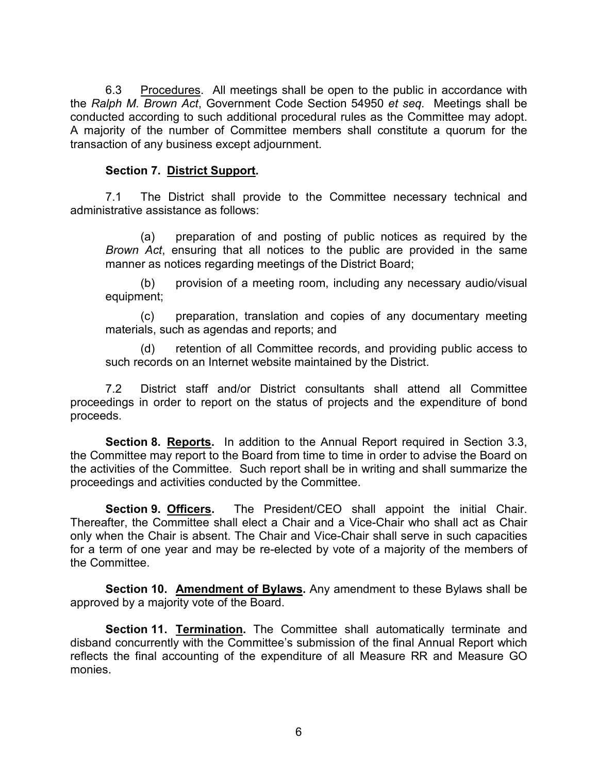the *Ralph M. Brown Act*, Government Code Section 54950 *et seq.* Meetings shall be conducted according to such additional procedural rules as the Committee may adopt. 6.3 Procedures. All meetings shall be open to the public in accordance with A majority of the number of Committee members shall constitute a quorum for the transaction of any business except adjournment.

### **Section 7. District Support.**

 administrative assistance as follows: 7.1 The District shall provide to the Committee necessary technical and

 manner as notices regarding meetings of the District Board; (a) preparation of and posting of public notices as required by the *Brown Act*, ensuring that all notices to the public are provided in the same

(b) provision of a meeting room, including any necessary audio/visual equipment;

 materials, such as agendas and reports; and (c) preparation, translation and copies of any documentary meeting

(d) retention of all Committee records, and providing public access to such records on an Internet website maintained by the District.

7.2 District staff and/or District consultants shall attend all Committee proceedings in order to report on the status of projects and the expenditure of bond proceeds.

 **Section 8. Reports.** In addition to the Annual Report required in Section 3.3, the Committee may report to the Board from time to time in order to advise the Board on the activities of the Committee. Such report shall be in writing and shall summarize the proceedings and activities conducted by the Committee.

Section 9. Officers. only when the Chair is absent. The Chair and Vice-Chair shall serve in such capacities The President/CEO shall appoint the initial Chair. Thereafter, the Committee shall elect a Chair and a Vice-Chair who shall act as Chair for a term of one year and may be re-elected by vote of a majority of the members of the Committee.

**Section 10. Amendment of Bylaws.** Any amendment to these Bylaws shall be approved by a majority vote of the Board.

**Section 11. Termination.** The Committee shall automatically terminate and disband concurrently with the Committee's submission of the final Annual Report which reflects the final accounting of the expenditure of all Measure RR and Measure GO monies.